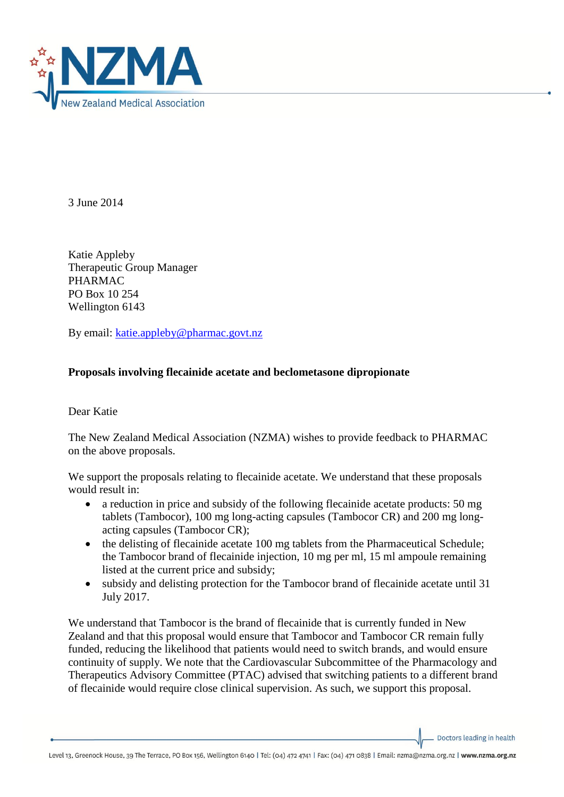

3 June 2014

Katie Appleby Therapeutic Group Manager PHARMAC PO Box 10 254 Wellington 6143

By email: [katie.appleby@pharmac.govt.nz](mailto:katie.appleby@pharmac.govt.nz)

## **Proposals involving flecainide acetate and beclometasone dipropionate**

Dear Katie

The New Zealand Medical Association (NZMA) wishes to provide feedback to PHARMAC on the above proposals.

We support the proposals relating to flecainide acetate. We understand that these proposals would result in:

- a reduction in price and subsidy of the following flecainide acetate products: 50 mg tablets (Tambocor), 100 mg long-acting capsules (Tambocor CR) and 200 mg longacting capsules (Tambocor CR);
- the delisting of flecainide acetate 100 mg tablets from the Pharmaceutical Schedule; the Tambocor brand of flecainide injection, 10 mg per ml, 15 ml ampoule remaining listed at the current price and subsidy;
- subsidy and delisting protection for the Tambocor brand of flecainide acetate until 31 July 2017.

We understand that Tambocor is the brand of flecainide that is currently funded in New Zealand and that this proposal would ensure that Tambocor and Tambocor CR remain fully funded, reducing the likelihood that patients would need to switch brands, and would ensure continuity of supply. We note that the Cardiovascular Subcommittee of the Pharmacology and Therapeutics Advisory Committee (PTAC) advised that switching patients to a different brand of flecainide would require close clinical supervision. As such, we support this proposal.

Doctors leading in health